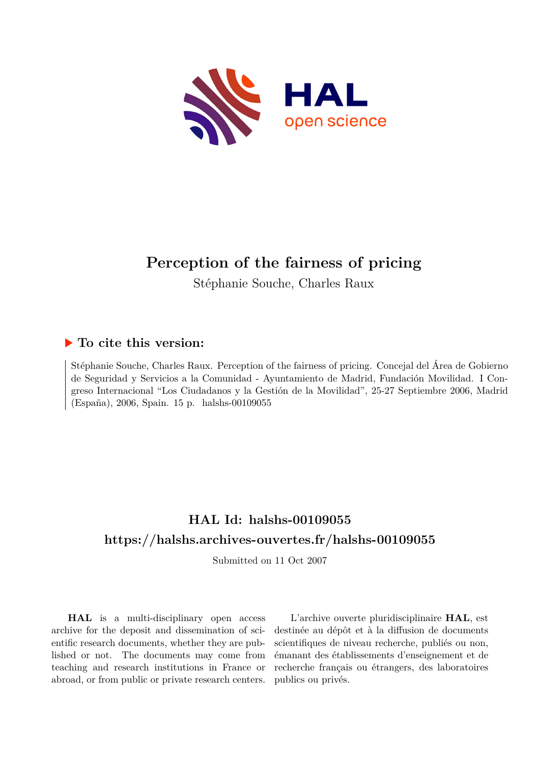

# **Perception of the fairness of pricing**

Stéphanie Souche, Charles Raux

# **To cite this version:**

Stéphanie Souche, Charles Raux. Perception of the fairness of pricing. Concejal del Área de Gobierno de Seguridad y Servicios a la Comunidad - Ayuntamiento de Madrid, Fundación Movilidad. I Congreso Internacional "Los Ciudadanos y la Gestión de la Movilidad", 25-27 Septiembre 2006, Madrid (España), 2006, Spain. 15 p. halshs-00109055

# **HAL Id: halshs-00109055 <https://halshs.archives-ouvertes.fr/halshs-00109055>**

Submitted on 11 Oct 2007

**HAL** is a multi-disciplinary open access archive for the deposit and dissemination of scientific research documents, whether they are published or not. The documents may come from teaching and research institutions in France or abroad, or from public or private research centers.

L'archive ouverte pluridisciplinaire **HAL**, est destinée au dépôt et à la diffusion de documents scientifiques de niveau recherche, publiés ou non, émanant des établissements d'enseignement et de recherche français ou étrangers, des laboratoires publics ou privés.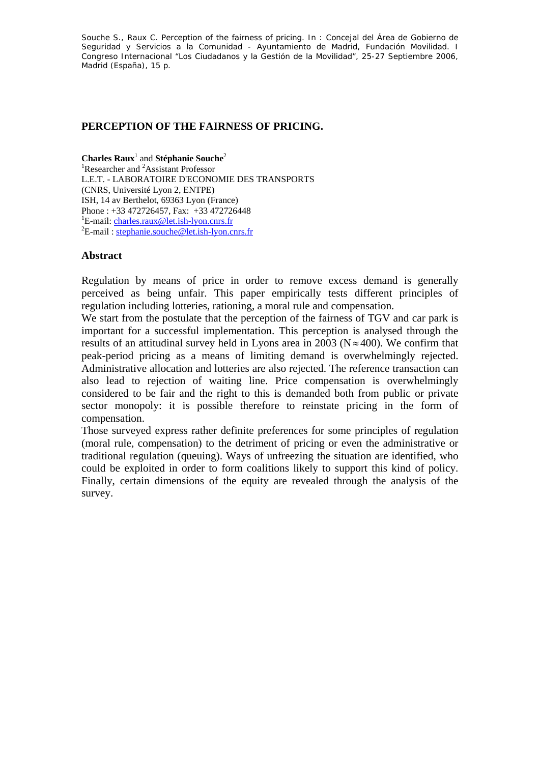Souche S., Raux C. Perception of the fairness of pricing. In : Concejal del Área de Gobierno de Seguridad y Servicios a la Comunidad - Ayuntamiento de Madrid, Fundación Movilidad. I Congreso Internacional "Los Ciudadanos y la Gestión de la Movilidad", 25-27 Septiembre 2006, Madrid (España), 15 p.

#### **PERCEPTION OF THE FAIRNESS OF PRICING.**

Charles Raux<sup>1</sup> and Stéphanie Souche<sup>2</sup> <sup>1</sup>Researcher and <sup>2</sup>Assistant Professor L.E.T. - LABORATOIRE D'ECONOMIE DES TRANSPORTS (CNRS, Université Lyon 2, ENTPE) ISH, 14 av Berthelot, 69363 Lyon (France) Phone : +33 472726457, Fax: +33 472726448 <sup>1</sup>E-mail: charles.raux@let.ish-lyon.cnrs.fr  ${}^{2}E$  mail: stanbonic soughe@let.ish lyon at  $E$ -mail: stephanie.souche@let.ish-lyon.cnrs.fr

#### **Abstract**

Regulation by means of price in order to remove excess demand is generally perceived as being unfair. This paper empirically tests different principles of regulation including lotteries, rationing, a moral rule and compensation.

We start from the postulate that the perception of the fairness of TGV and car park is important for a successful implementation. This perception is analysed through the results of an attitudinal survey held in Lyons area in 2003 ( $N \approx 400$ ). We confirm that peak-period pricing as a means of limiting demand is overwhelmingly rejected. Administrative allocation and lotteries are also rejected. The reference transaction can also lead to rejection of waiting line. Price compensation is overwhelmingly considered to be fair and the right to this is demanded both from public or private sector monopoly: it is possible therefore to reinstate pricing in the form of compensation.

Those surveyed express rather definite preferences for some principles of regulation (moral rule, compensation) to the detriment of pricing or even the administrative or traditional regulation (queuing). Ways of unfreezing the situation are identified, who could be exploited in order to form coalitions likely to support this kind of policy. Finally, certain dimensions of the equity are revealed through the analysis of the survey.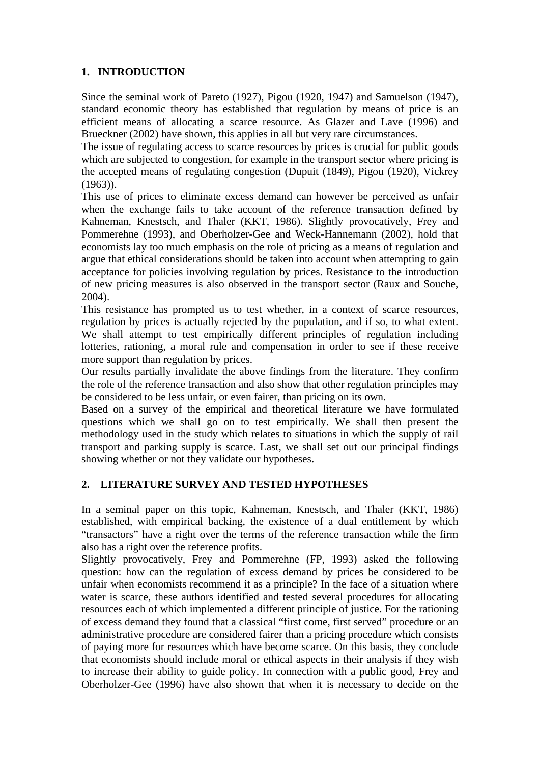# **1. INTRODUCTION**

Since the seminal work of Pareto (1927), Pigou (1920, 1947) and Samuelson (1947), standard economic theory has established that regulation by means of price is an efficient means of allocating a scarce resource. As Glazer and Lave (1996) and Brueckner (2002) have shown, this applies in all but very rare circumstances.

The issue of regulating access to scarce resources by prices is crucial for public goods which are subjected to congestion, for example in the transport sector where pricing is the accepted means of regulating congestion (Dupuit (1849), Pigou (1920), Vickrey (1963)).

This use of prices to eliminate excess demand can however be perceived as unfair when the exchange fails to take account of the reference transaction defined by Kahneman, Knestsch, and Thaler (KKT, 1986). Slightly provocatively, Frey and Pommerehne (1993), and Oberholzer-Gee and Weck-Hannemann (2002), hold that economists lay too much emphasis on the role of pricing as a means of regulation and argue that ethical considerations should be taken into account when attempting to gain acceptance for policies involving regulation by prices. Resistance to the introduction of new pricing measures is also observed in the transport sector (Raux and Souche, 2004).

This resistance has prompted us to test whether, in a context of scarce resources, regulation by prices is actually rejected by the population, and if so, to what extent. We shall attempt to test empirically different principles of regulation including lotteries, rationing, a moral rule and compensation in order to see if these receive more support than regulation by prices.

Our results partially invalidate the above findings from the literature. They confirm the role of the reference transaction and also show that other regulation principles may be considered to be less unfair, or even fairer, than pricing on its own.

Based on a survey of the empirical and theoretical literature we have formulated questions which we shall go on to test empirically. We shall then present the methodology used in the study which relates to situations in which the supply of rail transport and parking supply is scarce. Last, we shall set out our principal findings showing whether or not they validate our hypotheses.

# **2. LITERATURE SURVEY AND TESTED HYPOTHESES**

In a seminal paper on this topic, Kahneman, Knestsch, and Thaler (KKT, 1986) established, with empirical backing, the existence of a dual entitlement by which "transactors" have a right over the terms of the reference transaction while the firm also has a right over the reference profits.

Slightly provocatively, Frey and Pommerehne (FP, 1993) asked the following question: how can the regulation of excess demand by prices be considered to be unfair when economists recommend it as a principle? In the face of a situation where water is scarce, these authors identified and tested several procedures for allocating resources each of which implemented a different principle of justice. For the rationing of excess demand they found that a classical "first come, first served" procedure or an administrative procedure are considered fairer than a pricing procedure which consists of paying more for resources which have become scarce. On this basis, they conclude that economists should include moral or ethical aspects in their analysis if they wish to increase their ability to guide policy. In connection with a public good, Frey and Oberholzer-Gee (1996) have also shown that when it is necessary to decide on the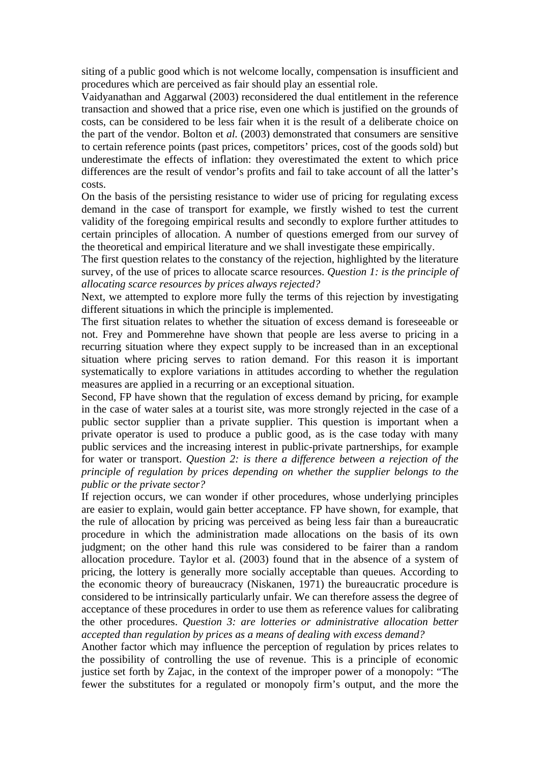siting of a public good which is not welcome locally, compensation is insufficient and procedures which are perceived as fair should play an essential role.

Vaidyanathan and Aggarwal (2003) reconsidered the dual entitlement in the reference transaction and showed that a price rise, even one which is justified on the grounds of costs, can be considered to be less fair when it is the result of a deliberate choice on the part of the vendor. Bolton et *al.* (2003) demonstrated that consumers are sensitive to certain reference points (past prices, competitors' prices, cost of the goods sold) but underestimate the effects of inflation: they overestimated the extent to which price differences are the result of vendor's profits and fail to take account of all the latter's costs.

On the basis of the persisting resistance to wider use of pricing for regulating excess demand in the case of transport for example, we firstly wished to test the current validity of the foregoing empirical results and secondly to explore further attitudes to certain principles of allocation. A number of questions emerged from our survey of the theoretical and empirical literature and we shall investigate these empirically.

The first question relates to the constancy of the rejection, highlighted by the literature survey, of the use of prices to allocate scarce resources. *Question 1: is the principle of allocating scarce resources by prices always rejected?*

Next, we attempted to explore more fully the terms of this rejection by investigating different situations in which the principle is implemented.

The first situation relates to whether the situation of excess demand is foreseeable or not. Frey and Pommerehne have shown that people are less averse to pricing in a recurring situation where they expect supply to be increased than in an exceptional situation where pricing serves to ration demand. For this reason it is important systematically to explore variations in attitudes according to whether the regulation measures are applied in a recurring or an exceptional situation.

Second, FP have shown that the regulation of excess demand by pricing, for example in the case of water sales at a tourist site, was more strongly rejected in the case of a public sector supplier than a private supplier. This question is important when a private operator is used to produce a public good, as is the case today with many public services and the increasing interest in public-private partnerships, for example for water or transport. *Question 2: is there a difference between a rejection of the principle of regulation by prices depending on whether the supplier belongs to the public or the private sector?* 

If rejection occurs, we can wonder if other procedures, whose underlying principles are easier to explain, would gain better acceptance. FP have shown, for example, that the rule of allocation by pricing was perceived as being less fair than a bureaucratic procedure in which the administration made allocations on the basis of its own judgment; on the other hand this rule was considered to be fairer than a random allocation procedure. Taylor et al. (2003) found that in the absence of a system of pricing, the lottery is generally more socially acceptable than queues. According to the economic theory of bureaucracy (Niskanen, 1971) the bureaucratic procedure is considered to be intrinsically particularly unfair. We can therefore assess the degree of acceptance of these procedures in order to use them as reference values for calibrating the other procedures. *Question 3: are lotteries or administrative allocation better accepted than regulation by prices as a means of dealing with excess demand?*

Another factor which may influence the perception of regulation by prices relates to the possibility of controlling the use of revenue. This is a principle of economic justice set forth by Zajac, in the context of the improper power of a monopoly: "The fewer the substitutes for a regulated or monopoly firm's output, and the more the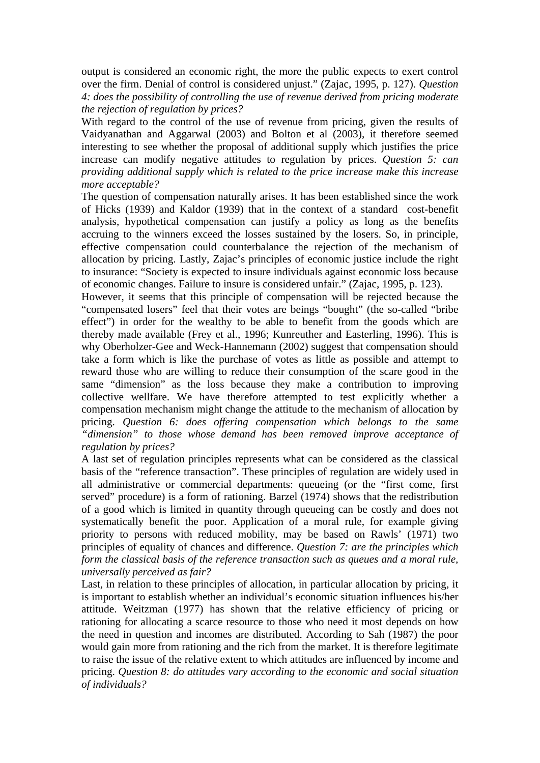output is considered an economic right, the more the public expects to exert control over the firm. Denial of control is considered unjust." (Zajac, 1995, p. 127). *Question 4: does the possibility of controlling the use of revenue derived from pricing moderate the rejection of regulation by prices?* 

With regard to the control of the use of revenue from pricing, given the results of Vaidyanathan and Aggarwal (2003) and Bolton et al (2003), it therefore seemed interesting to see whether the proposal of additional supply which justifies the price increase can modify negative attitudes to regulation by prices. *Question 5: can providing additional supply which is related to the price increase make this increase more acceptable?*

The question of compensation naturally arises. It has been established since the work of Hicks (1939) and Kaldor (1939) that in the context of a standard cost-benefit analysis, hypothetical compensation can justify a policy as long as the benefits accruing to the winners exceed the losses sustained by the losers. So, in principle, effective compensation could counterbalance the rejection of the mechanism of allocation by pricing. Lastly, Zajac's principles of economic justice include the right to insurance: "Society is expected to insure individuals against economic loss because of economic changes. Failure to insure is considered unfair." (Zajac, 1995, p. 123).

However, it seems that this principle of compensation will be rejected because the "compensated losers" feel that their votes are beings "bought" (the so-called "bribe effect") in order for the wealthy to be able to benefit from the goods which are thereby made available (Frey et al., 1996; Kunreuther and Easterling, 1996). This is why Oberholzer-Gee and Weck-Hannemann (2002) suggest that compensation should take a form which is like the purchase of votes as little as possible and attempt to reward those who are willing to reduce their consumption of the scare good in the same "dimension" as the loss because they make a contribution to improving collective wellfare. We have therefore attempted to test explicitly whether a compensation mechanism might change the attitude to the mechanism of allocation by pricing. *Question 6: does offering compensation which belongs to the same "dimension" to those whose demand has been removed improve acceptance of regulation by prices?* 

A last set of regulation principles represents what can be considered as the classical basis of the "reference transaction". These principles of regulation are widely used in all administrative or commercial departments: queueing (or the "first come, first served" procedure) is a form of rationing. Barzel (1974) shows that the redistribution of a good which is limited in quantity through queueing can be costly and does not systematically benefit the poor. Application of a moral rule, for example giving priority to persons with reduced mobility, may be based on Rawls' (1971) two principles of equality of chances and difference. *Question 7: are the principles which form the classical basis of the reference transaction such as queues and a moral rule, universally perceived as fair?* 

Last, in relation to these principles of allocation, in particular allocation by pricing, it is important to establish whether an individual's economic situation influences his/her attitude. Weitzman (1977) has shown that the relative efficiency of pricing or rationing for allocating a scarce resource to those who need it most depends on how the need in question and incomes are distributed. According to Sah (1987) the poor would gain more from rationing and the rich from the market. It is therefore legitimate to raise the issue of the relative extent to which attitudes are influenced by income and pricing. *Question 8: do attitudes vary according to the economic and social situation of individuals?*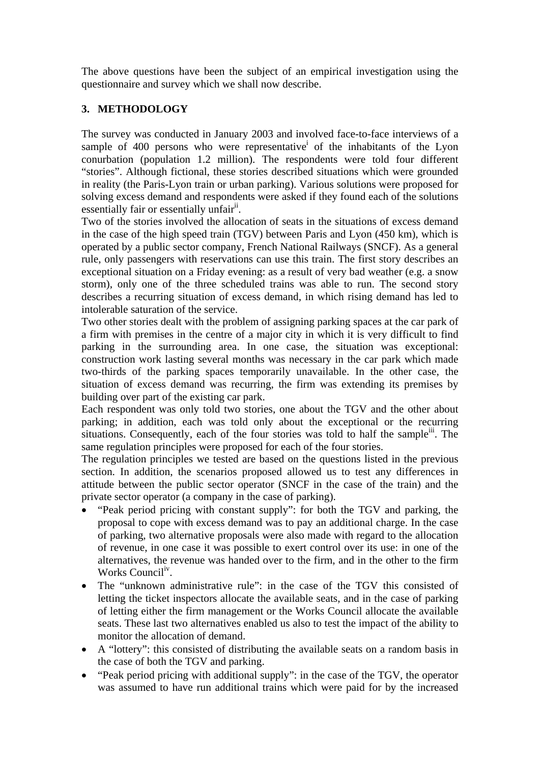The above questions have been the subject of an empirical investigation using the questionnaire and survey which we shall now describe.

# **3. METHODOLOGY**

The survey was conducted in January 2003 and involved face-to-face interviews of a sample of 400 persons who were representative<sup>i</sup> of the inhabitants of the Lyon conurbation (population 1.2 million). The respondents were told four different "stories". Although fictional, these stories described situations which were grounded in reality (the Paris-Lyon train or urban parking). Various solutions were proposed for solving excess demand and respondents were asked if they found each of the solutions essentially fair or essentially unfair<sup>ii</sup>.

Two of the stories involved the allocation of seats in the situations of excess demand in the case of the high speed train (TGV) between Paris and Lyon (450 km), which is operated by a public sector company, French National Railways (SNCF). As a general rule, only passengers with reservations can use this train. The first story describes an exceptional situation on a Friday evening: as a result of very bad weather (e.g. a snow storm), only one of the three scheduled trains was able to run. The second story describes a recurring situation of excess demand, in which rising demand has led to intolerable saturation of the service.

Two other stories dealt with the problem of assigning parking spaces at the car park of a firm with premises in the centre of a major city in which it is very difficult to find parking in the surrounding area. In one case, the situation was exceptional: construction work lasting several months was necessary in the car park which made two-thirds of the parking spaces temporarily unavailable. In the other case, the situation of excess demand was recurring, the firm was extending its premises by building over part of the existing car park.

Each respondent was only told two stories, one about the TGV and the other about parking; in addition, each was told only about the exceptional or the recurring situations. Consequently, each of the four stories was told to half the sample<sup>iii</sup>. The same regulation principles were proposed for each of the four stories.

The regulation principles we tested are based on the questions listed in the previous section. In addition, the scenarios proposed allowed us to test any differences in attitude between the public sector operator (SNCF in the case of the train) and the private sector operator (a company in the case of parking).

- "Peak period pricing with constant supply": for both the TGV and parking, the proposal to cope with excess demand was to pay an additional charge. In the case of parking, two alternative proposals were also made with regard to the allocation of revenue, in one case it was possible to exert control over its use: in one of the alternatives, the revenue was handed over to the firm, and in the other to the firm Works Council<sup>iv</sup>.
- The "unknown administrative rule": in the case of the TGV this consisted of letting the ticket inspectors allocate the available seats, and in the case of parking of letting either the firm management or the Works Council allocate the available seats. These last two alternatives enabled us also to test the impact of the ability to monitor the allocation of demand.
- A "lottery": this consisted of distributing the available seats on a random basis in the case of both the TGV and parking.
- "Peak period pricing with additional supply": in the case of the TGV, the operator was assumed to have run additional trains which were paid for by the increased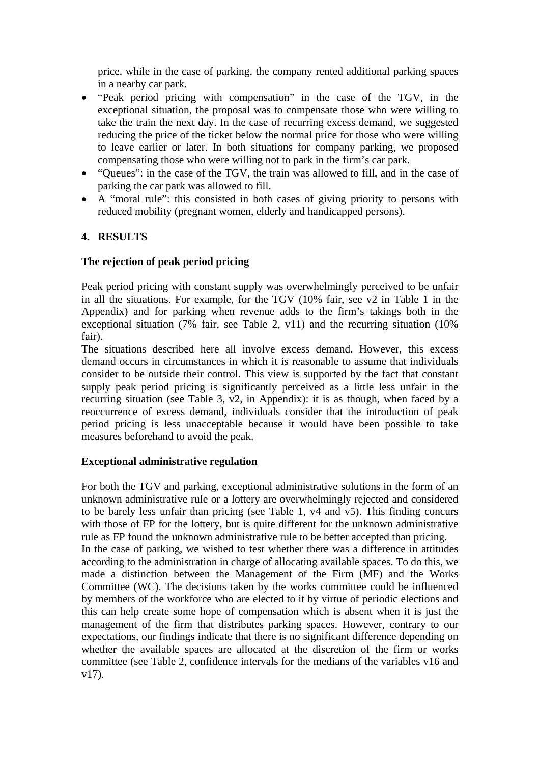price, while in the case of parking, the company rented additional parking spaces in a nearby car park.

- "Peak period pricing with compensation" in the case of the TGV, in the exceptional situation, the proposal was to compensate those who were willing to take the train the next day. In the case of recurring excess demand, we suggested reducing the price of the ticket below the normal price for those who were willing to leave earlier or later. In both situations for company parking, we proposed compensating those who were willing not to park in the firm's car park.
- "Queues": in the case of the TGV, the train was allowed to fill, and in the case of parking the car park was allowed to fill.
- A "moral rule": this consisted in both cases of giving priority to persons with reduced mobility (pregnant women, elderly and handicapped persons).

# **4. RESULTS**

## **The rejection of peak period pricing**

Peak period pricing with constant supply was overwhelmingly perceived to be unfair in all the situations. For example, for the TGV (10% fair, see v2 in Table 1 in the Appendix) and for parking when revenue adds to the firm's takings both in the exceptional situation (7% fair, see Table 2, v11) and the recurring situation (10% fair).

The situations described here all involve excess demand. However, this excess demand occurs in circumstances in which it is reasonable to assume that individuals consider to be outside their control. This view is supported by the fact that constant supply peak period pricing is significantly perceived as a little less unfair in the recurring situation (see Table 3, v2, in Appendix): it is as though, when faced by a reoccurrence of excess demand, individuals consider that the introduction of peak period pricing is less unacceptable because it would have been possible to take measures beforehand to avoid the peak.

#### **Exceptional administrative regulation**

For both the TGV and parking, exceptional administrative solutions in the form of an unknown administrative rule or a lottery are overwhelmingly rejected and considered to be barely less unfair than pricing (see Table 1, v4 and v5). This finding concurs with those of FP for the lottery, but is quite different for the unknown administrative rule as FP found the unknown administrative rule to be better accepted than pricing. In the case of parking, we wished to test whether there was a difference in attitudes according to the administration in charge of allocating available spaces. To do this, we made a distinction between the Management of the Firm (MF) and the Works Committee (WC). The decisions taken by the works committee could be influenced by members of the workforce who are elected to it by virtue of periodic elections and this can help create some hope of compensation which is absent when it is just the management of the firm that distributes parking spaces. However, contrary to our expectations, our findings indicate that there is no significant difference depending on whether the available spaces are allocated at the discretion of the firm or works committee (see Table 2, confidence intervals for the medians of the variables v16 and v17).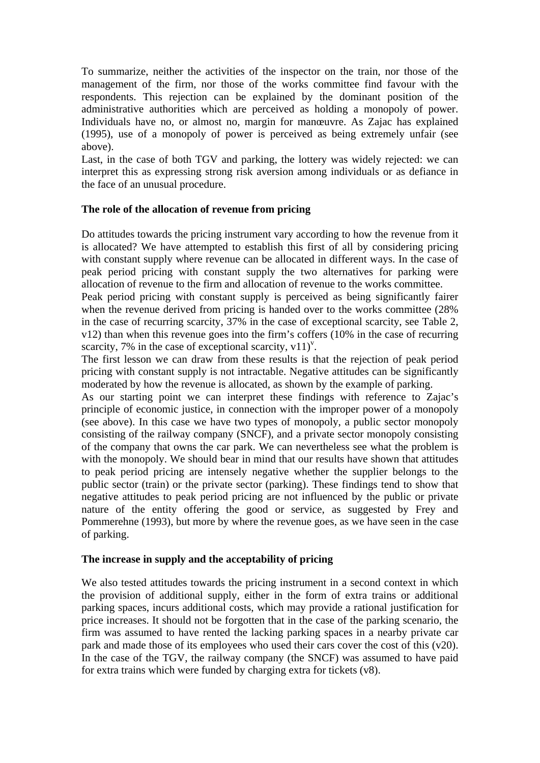To summarize, neither the activities of the inspector on the train, nor those of the management of the firm, nor those of the works committee find favour with the respondents. This rejection can be explained by the dominant position of the administrative authorities which are perceived as holding a monopoly of power. Individuals have no, or almost no, margin for manœuvre. As Zajac has explained (1995), use of a monopoly of power is perceived as being extremely unfair (see above).

Last, in the case of both TGV and parking, the lottery was widely rejected: we can interpret this as expressing strong risk aversion among individuals or as defiance in the face of an unusual procedure.

#### **The role of the allocation of revenue from pricing**

Do attitudes towards the pricing instrument vary according to how the revenue from it is allocated? We have attempted to establish this first of all by considering pricing with constant supply where revenue can be allocated in different ways. In the case of peak period pricing with constant supply the two alternatives for parking were allocation of revenue to the firm and allocation of revenue to the works committee.

Peak period pricing with constant supply is perceived as being significantly fairer when the revenue derived from pricing is handed over to the works committee  $(28\%$ in the case of recurring scarcity, 37% in the case of exceptional scarcity, see Table 2, v12) than when this revenue goes into the firm's coffers (10% in the case of recurring scarcity, 7% in the case of exceptional scarcity,  $v11$ <sup>y</sup>.

The first lesson we can draw from these results is that the rejection of peak period pricing with constant supply is not intractable. Negative attitudes can be significantly moderated by how the revenue is allocated, as shown by the example of parking.

As our starting point we can interpret these findings with reference to Zajac's principle of economic justice, in connection with the improper power of a monopoly (see above). In this case we have two types of monopoly, a public sector monopoly consisting of the railway company (SNCF), and a private sector monopoly consisting of the company that owns the car park. We can nevertheless see what the problem is with the monopoly. We should bear in mind that our results have shown that attitudes to peak period pricing are intensely negative whether the supplier belongs to the public sector (train) or the private sector (parking). These findings tend to show that negative attitudes to peak period pricing are not influenced by the public or private nature of the entity offering the good or service, as suggested by Frey and Pommerehne (1993), but more by where the revenue goes, as we have seen in the case of parking.

## **The increase in supply and the acceptability of pricing**

We also tested attitudes towards the pricing instrument in a second context in which the provision of additional supply, either in the form of extra trains or additional parking spaces, incurs additional costs, which may provide a rational justification for price increases. It should not be forgotten that in the case of the parking scenario, the firm was assumed to have rented the lacking parking spaces in a nearby private car park and made those of its employees who used their cars cover the cost of this (v20). In the case of the TGV, the railway company (the SNCF) was assumed to have paid for extra trains which were funded by charging extra for tickets (v8).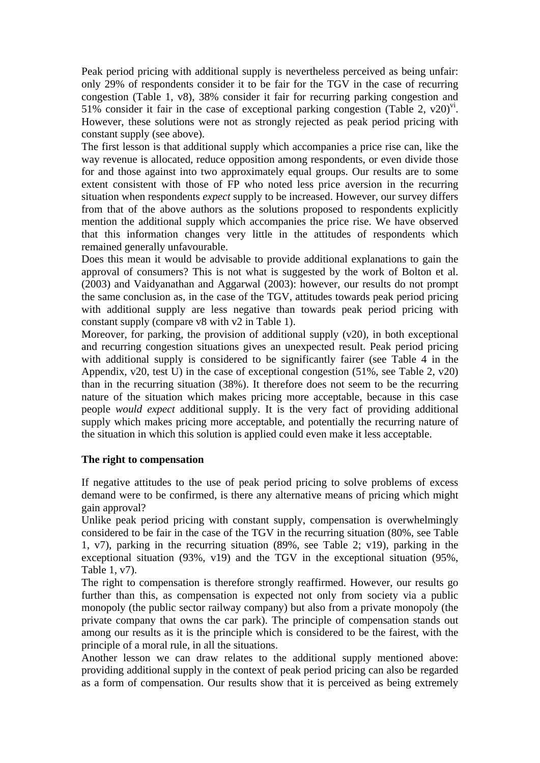Peak period pricing with additional supply is nevertheless perceived as being unfair: only 29% of respondents consider it to be fair for the TGV in the case of recurring congestion (Table 1, v8), 38% consider it fair for recurring parking congestion and 51% consider it fair in the case of exceptional parking congestion (Table 2,  $v20$ )<sup>vi</sup>. However, these solutions were not as strongly rejected as peak period pricing with constant supply (see above).

The first lesson is that additional supply which accompanies a price rise can, like the way revenue is allocated, reduce opposition among respondents, or even divide those for and those against into two approximately equal groups. Our results are to some extent consistent with those of FP who noted less price aversion in the recurring situation when respondents *expect* supply to be increased. However, our survey differs from that of the above authors as the solutions proposed to respondents explicitly mention the additional supply which accompanies the price rise. We have observed that this information changes very little in the attitudes of respondents which remained generally unfavourable.

Does this mean it would be advisable to provide additional explanations to gain the approval of consumers? This is not what is suggested by the work of Bolton et al. (2003) and Vaidyanathan and Aggarwal (2003): however, our results do not prompt the same conclusion as, in the case of the TGV, attitudes towards peak period pricing with additional supply are less negative than towards peak period pricing with constant supply (compare v8 with v2 in Table 1).

Moreover, for parking, the provision of additional supply (v20), in both exceptional and recurring congestion situations gives an unexpected result. Peak period pricing with additional supply is considered to be significantly fairer (see Table 4 in the Appendix, v20, test U) in the case of exceptional congestion (51%, see Table 2, v20) than in the recurring situation (38%). It therefore does not seem to be the recurring nature of the situation which makes pricing more acceptable, because in this case people *would expect* additional supply. It is the very fact of providing additional supply which makes pricing more acceptable, and potentially the recurring nature of the situation in which this solution is applied could even make it less acceptable.

#### **The right to compensation**

If negative attitudes to the use of peak period pricing to solve problems of excess demand were to be confirmed, is there any alternative means of pricing which might gain approval?

Unlike peak period pricing with constant supply, compensation is overwhelmingly considered to be fair in the case of the TGV in the recurring situation (80%, see Table 1, v7), parking in the recurring situation (89%, see Table 2; v19), parking in the exceptional situation (93%, v19) and the TGV in the exceptional situation (95%, Table 1, v7).

The right to compensation is therefore strongly reaffirmed. However, our results go further than this, as compensation is expected not only from society via a public monopoly (the public sector railway company) but also from a private monopoly (the private company that owns the car park). The principle of compensation stands out among our results as it is the principle which is considered to be the fairest, with the principle of a moral rule, in all the situations.

Another lesson we can draw relates to the additional supply mentioned above: providing additional supply in the context of peak period pricing can also be regarded as a form of compensation. Our results show that it is perceived as being extremely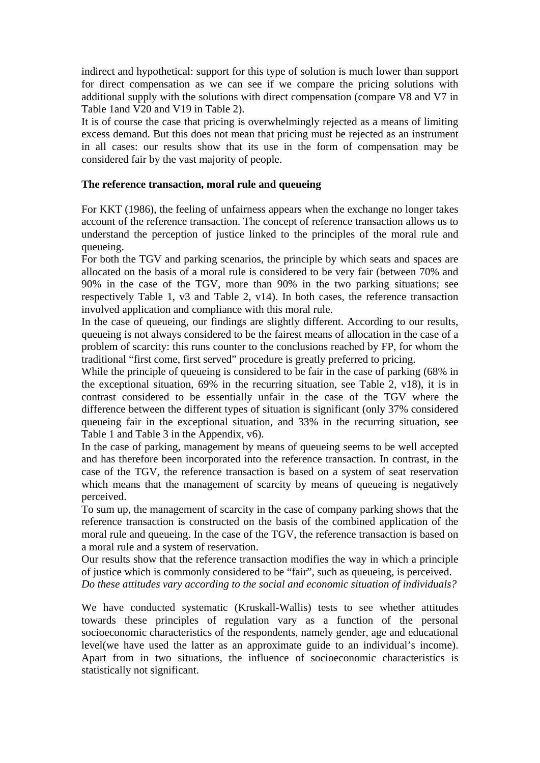indirect and hypothetical: support for this type of solution is much lower than support for direct compensation as we can see if we compare the pricing solutions with additional supply with the solutions with direct compensation (compare V8 and V7 in Table 1and V20 and V19 in Table 2).

It is of course the case that pricing is overwhelmingly rejected as a means of limiting excess demand. But this does not mean that pricing must be rejected as an instrument in all cases: our results show that its use in the form of compensation may be considered fair by the vast majority of people.

#### **The reference transaction, moral rule and queueing**

For KKT (1986), the feeling of unfairness appears when the exchange no longer takes account of the reference transaction. The concept of reference transaction allows us to understand the perception of justice linked to the principles of the moral rule and queueing.

For both the TGV and parking scenarios, the principle by which seats and spaces are allocated on the basis of a moral rule is considered to be very fair (between 70% and 90% in the case of the TGV, more than 90% in the two parking situations; see respectively Table 1, v3 and Table 2, v14). In both cases, the reference transaction involved application and compliance with this moral rule.

In the case of queueing, our findings are slightly different. According to our results, queueing is not always considered to be the fairest means of allocation in the case of a problem of scarcity: this runs counter to the conclusions reached by FP, for whom the traditional "first come, first served" procedure is greatly preferred to pricing.

While the principle of queueing is considered to be fair in the case of parking (68% in the exceptional situation, 69% in the recurring situation, see Table 2, v18), it is in contrast considered to be essentially unfair in the case of the TGV where the difference between the different types of situation is significant (only 37% considered queueing fair in the exceptional situation, and 33% in the recurring situation, see Table 1 and Table 3 in the Appendix, v6).

In the case of parking, management by means of queueing seems to be well accepted and has therefore been incorporated into the reference transaction. In contrast, in the case of the TGV, the reference transaction is based on a system of seat reservation which means that the management of scarcity by means of queueing is negatively perceived.

To sum up, the management of scarcity in the case of company parking shows that the reference transaction is constructed on the basis of the combined application of the moral rule and queueing. In the case of the TGV, the reference transaction is based on a moral rule and a system of reservation.

Our results show that the reference transaction modifies the way in which a principle of justice which is commonly considered to be "fair", such as queueing, is perceived. *Do these attitudes vary according to the social and economic situation of individuals?* 

We have conducted systematic (Kruskall-Wallis) tests to see whether attitudes towards these principles of regulation vary as a function of the personal socioeconomic characteristics of the respondents, namely gender, age and educational level(we have used the latter as an approximate guide to an individual's income). Apart from in two situations, the influence of socioeconomic characteristics is statistically not significant.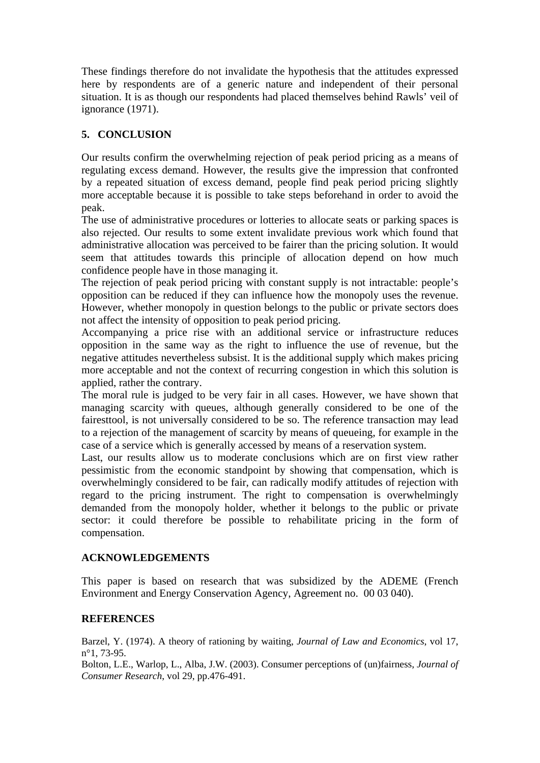These findings therefore do not invalidate the hypothesis that the attitudes expressed here by respondents are of a generic nature and independent of their personal situation. It is as though our respondents had placed themselves behind Rawls' veil of ignorance (1971).

# **5. CONCLUSION**

Our results confirm the overwhelming rejection of peak period pricing as a means of regulating excess demand. However, the results give the impression that confronted by a repeated situation of excess demand, people find peak period pricing slightly more acceptable because it is possible to take steps beforehand in order to avoid the peak.

The use of administrative procedures or lotteries to allocate seats or parking spaces is also rejected. Our results to some extent invalidate previous work which found that administrative allocation was perceived to be fairer than the pricing solution. It would seem that attitudes towards this principle of allocation depend on how much confidence people have in those managing it.

The rejection of peak period pricing with constant supply is not intractable: people's opposition can be reduced if they can influence how the monopoly uses the revenue. However, whether monopoly in question belongs to the public or private sectors does not affect the intensity of opposition to peak period pricing.

Accompanying a price rise with an additional service or infrastructure reduces opposition in the same way as the right to influence the use of revenue, but the negative attitudes nevertheless subsist. It is the additional supply which makes pricing more acceptable and not the context of recurring congestion in which this solution is applied, rather the contrary.

The moral rule is judged to be very fair in all cases. However, we have shown that managing scarcity with queues, although generally considered to be one of the fairesttool, is not universally considered to be so. The reference transaction may lead to a rejection of the management of scarcity by means of queueing, for example in the case of a service which is generally accessed by means of a reservation system.

Last, our results allow us to moderate conclusions which are on first view rather pessimistic from the economic standpoint by showing that compensation, which is overwhelmingly considered to be fair, can radically modify attitudes of rejection with regard to the pricing instrument. The right to compensation is overwhelmingly demanded from the monopoly holder, whether it belongs to the public or private sector: it could therefore be possible to rehabilitate pricing in the form of compensation.

## **ACKNOWLEDGEMENTS**

This paper is based on research that was subsidized by the ADEME (French Environment and Energy Conservation Agency, Agreement no. 00 03 040).

## **REFERENCES**

Barzel, Y. (1974). A theory of rationing by waiting, *Journal of Law and Economics*, vol 17, n°1, 73-95.

Bolton, L.E., Warlop, L., Alba, J.W. (2003). Consumer perceptions of (un)fairness, *Journal of Consumer Research*, vol 29, pp.476-491.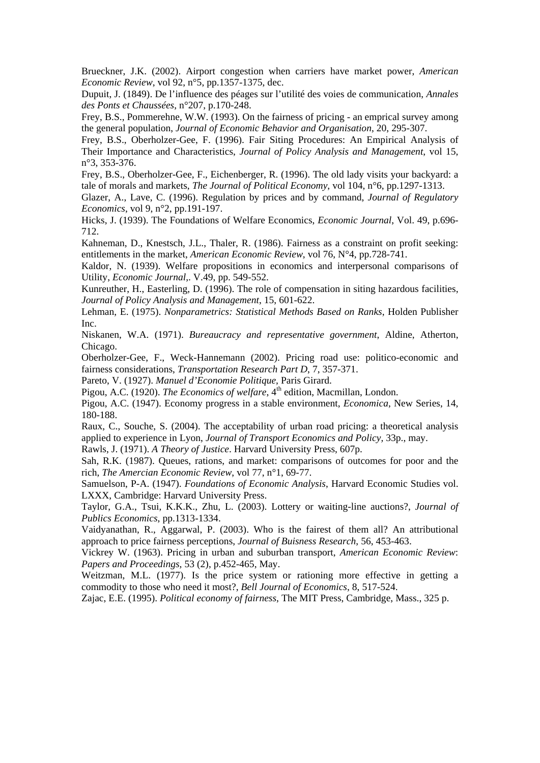Brueckner, J.K. (2002). Airport congestion when carriers have market power, *American Economic Review*, vol 92, n°5, pp.1357-1375, dec.

Dupuit, J. (1849). De l'influence des péages sur l'utilité des voies de communication, *Annales des Ponts et Chaussées*, n°207, p.170-248.

Frey, B.S., Pommerehne, W.W. (1993). On the fairness of pricing - an emprical survey among the general population, *Journal of Economic Behavior and Organisation*, 20, 295-307.

Frey, B.S., Oberholzer-Gee, F. (1996). Fair Siting Procedures: An Empirical Analysis of Their Importance and Characteristics, *Journal of Policy Analysis and Management*, vol 15, n°3, 353-376.

Frey, B.S., Oberholzer-Gee, F., Eichenberger, R. (1996). The old lady visits your backyard: a tale of morals and markets, *The Journal of Political Economy*, vol 104, n°6, pp.1297-1313.

Glazer, A., Lave, C. (1996). Regulation by prices and by command, *Journal of Regulatory Economics*, vol 9, n°2, pp.191-197.

Hicks, J. (1939). The Foundations of Welfare Economics, *Economic Journal*, Vol. 49, p.696- 712.

Kahneman, D., Knestsch, J.L., Thaler, R. (1986). Fairness as a constraint on profit seeking: entitlements in the market, *American Economic Review*, vol 76, N°4, pp.728-741.

Kaldor, N. (1939). Welfare propositions in economics and interpersonal comparisons of Utility, *Economic Journal*,. V.49, pp. 549-552.

Kunreuther, H., Easterling, D. (1996). The role of compensation in siting hazardous facilities, *Journal of Policy Analysis and Management*, 15, 601-622.

Lehman, E. (1975). *Nonparametrics: Statistical Methods Based on Ranks*, Holden Publisher Inc.

Niskanen, W.A. (1971). *Bureaucracy and representative government*, Aldine, Atherton, Chicago.

Oberholzer-Gee, F., Weck-Hannemann (2002). Pricing road use: politico-economic and fairness considerations, *Transportation Research Part D*, 7, 357-371.

Pareto, V. (1927). *Manuel d'Economie Politique*, Paris Girard.

Pigou, A.C. (1920). *The Economics of welfare*, 4<sup>th</sup> edition, Macmillan, London.

Pigou, A.C. (1947). Economy progress in a stable environment, *Economica*, New Series, 14, 180-188.

Raux, C., Souche, S. (2004). The acceptability of urban road pricing: a theoretical analysis applied to experience in Lyon, *Journal of Transport Economics and Policy,* 33p., may.

Rawls, J. (1971). *A Theory of Justice*. Harvard University Press, 607p.

Sah, R.K. (1987). Queues, rations, and market: comparisons of outcomes for poor and the rich, *The Amercian Economic Review*, vol 77, n°1, 69-77.

Samuelson, P-A. (1947). *Foundations of Economic Analysis*, Harvard Economic Studies vol. LXXX, Cambridge: Harvard University Press.

Taylor, G.A., Tsui, K.K.K., Zhu, L. (2003). Lottery or waiting-line auctions?, *Journal of Publics Economics*, pp.1313-1334.

Vaidyanathan, R., Aggarwal, P. (2003). Who is the fairest of them all? An attributional approach to price fairness perceptions, *Journal of Buisness Research*, 56, 453-463.

Vickrey W. (1963). Pricing in urban and suburban transport, *American Economic Review*: *Papers and Proceedings,* 53 (2), p.452-465, May.

Weitzman, M.L. (1977). Is the price system or rationing more effective in getting a commodity to those who need it most?, *Bell Journal of Economics*, 8, 517-524.

Zajac, E.E. (1995). *Political economy of fairness*, The MIT Press, Cambridge, Mass., 325 p.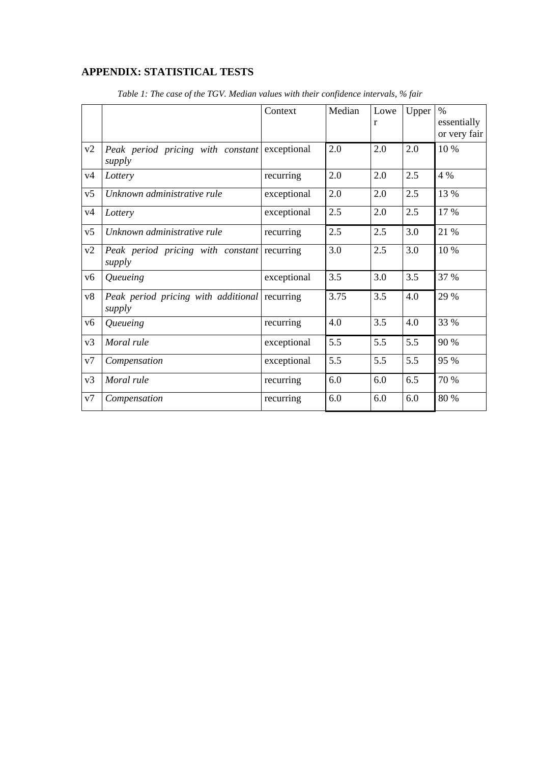# **APPENDIX: STATISTICAL TESTS**

|                |                                                         | Context     | Median | Lowe<br>r | Upper | $\%$<br>essentially<br>or very fair |
|----------------|---------------------------------------------------------|-------------|--------|-----------|-------|-------------------------------------|
| v2             | Peak period pricing with constant<br>supply             | exceptional | 2.0    | 2.0       | 2.0   | 10 %                                |
| v4             | Lottery                                                 | recurring   | 2.0    | 2.0       | 2.5   | 4 %                                 |
| v <sub>5</sub> | Unknown administrative rule                             | exceptional | 2.0    | 2.0       | 2.5   | 13 %                                |
| v4             | Lottery                                                 | exceptional | 2.5    | 2.0       | 2.5   | 17 %                                |
| v5             | Unknown administrative rule                             | recurring   | 2.5    | 2.5       | 3.0   | 21 %                                |
| v2             | Peak period pricing with constant<br>supply             | recurring   | 3.0    | 2.5       | 3.0   | 10 %                                |
| v6             | Queueing                                                | exceptional | 3.5    | 3.0       | 3.5   | 37 %                                |
| v8             | Peak period pricing with additional recurring<br>supply |             | 3.75   | 3.5       | 4.0   | 29 %                                |
| v6             | Queueing                                                | recurring   | 4.0    | 3.5       | 4.0   | 33 %                                |
| v3             | Moral rule                                              | exceptional | 5.5    | 5.5       | 5.5   | 90 %                                |
| v7             | Compensation                                            | exceptional | 5.5    | 5.5       | 5.5   | 95 %                                |
| v3             | Moral rule                                              | recurring   | 6.0    | 6.0       | 6.5   | 70 %                                |
| v7             | Compensation                                            | recurring   | 6.0    | 6.0       | 6.0   | 80 %                                |

*Table 1: The case of the TGV. Median values with their confidence intervals, % fair*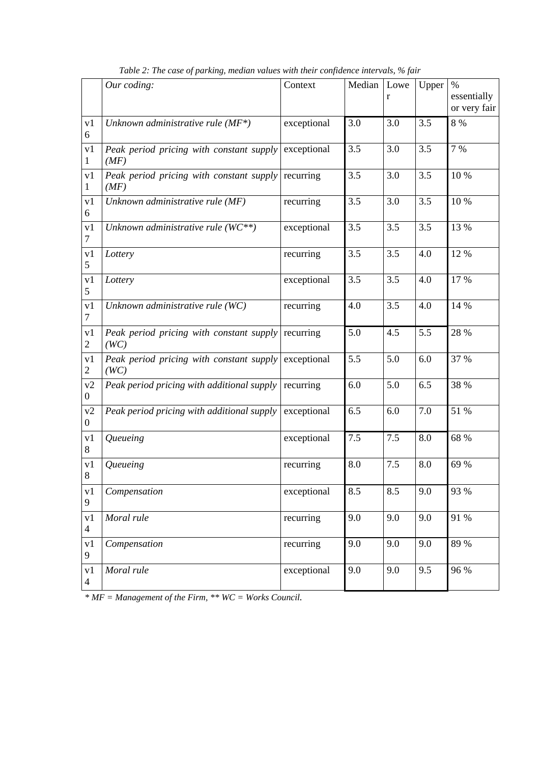|                      | Our coding:                                      | Context     | Median | Lowe<br>r | Upper | $\%$<br>essentially<br>or very fair |
|----------------------|--------------------------------------------------|-------------|--------|-----------|-------|-------------------------------------|
| v1<br>6              | Unknown administrative rule $(MF^*)$             | exceptional | 3.0    | 3.0       | 3.5   | 8 %                                 |
| v1<br>1              | Peak period pricing with constant supply<br>(MF) | exceptional | 3.5    | 3.0       | 3.5   | 7 %                                 |
| v1<br>1              | Peak period pricing with constant supply<br>(MF) | recurring   | 3.5    | 3.0       | 3.5   | 10 %                                |
| v1<br>6              | Unknown administrative rule (MF)                 | recurring   | 3.5    | 3.0       | 3.5   | 10 %                                |
| v1<br>$\tau$         | Unknown administrative rule $(WC^{**})$          | exceptional | 3.5    | 3.5       | 3.5   | 13 %                                |
| v1<br>5              | Lottery                                          | recurring   | 3.5    | 3.5       | 4.0   | 12 %                                |
| v <sub>1</sub><br>5  | Lottery                                          | exceptional | 3.5    | 3.5       | 4.0   | 17 %                                |
| v1<br>$\tau$         | Unknown administrative rule (WC)                 | recurring   | 4.0    | 3.5       | 4.0   | 14 %                                |
| v1<br>2              | Peak period pricing with constant supply<br>(WC) | recurring   | 5.0    | 4.5       | 5.5   | 28 %                                |
| v1<br>2              | Peak period pricing with constant supply<br>(WC) | exceptional | 5.5    | 5.0       | 6.0   | 37 %                                |
| v2<br>$\overline{0}$ | Peak period pricing with additional supply       | recurring   | 6.0    | 5.0       | 6.5   | 38 %                                |
| v2<br>$\overline{0}$ | Peak period pricing with additional supply       | exceptional | 6.5    | 6.0       | 7.0   | 51 %                                |
| v1<br>8              | Queueing                                         | exceptional | 7.5    | 7.5       | 8.0   | 68 %                                |
| v1<br>8              | Queueing                                         | recurring   | 8.0    | 7.5       | 8.0   | 69 %                                |
| v1<br>9              | Compensation                                     | exceptional | 8.5    | 8.5       | 9.0   | 93 %                                |
| v1<br>$\overline{4}$ | Moral rule                                       | recurring   | 9.0    | 9.0       | 9.0   | 91 %                                |
| v1<br>9              | Compensation                                     | recurring   | 9.0    | 9.0       | 9.0   | 89 %                                |
| v1<br>$\overline{4}$ | Moral rule                                       | exceptional | 9.0    | 9.0       | 9.5   | 96 %                                |

*Table 2: The case of parking, median values with their confidence intervals, % fair* 

*\* MF = Management of the Firm, \*\* WC = Works Council.*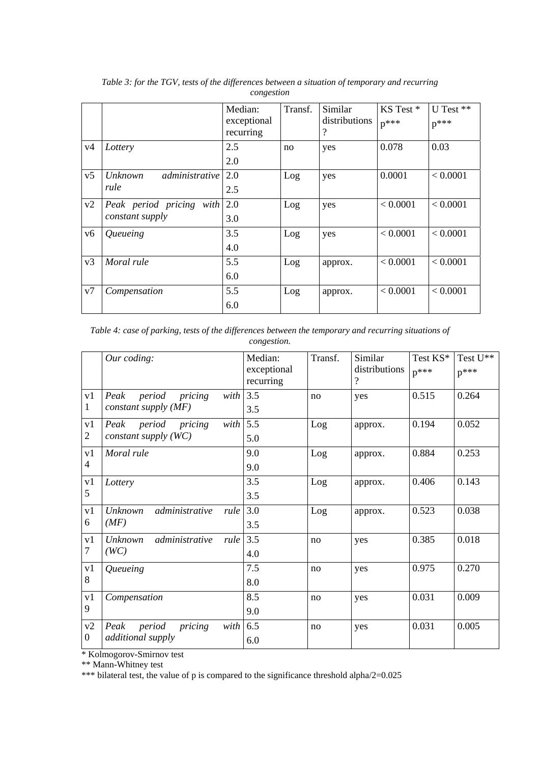|                |                                             | Median:<br>exceptional<br>recurring | Transf. | Similar<br>distributions<br>? | KS Test*<br>$p^{***}$ | U Test **<br>$p^{***}$ |
|----------------|---------------------------------------------|-------------------------------------|---------|-------------------------------|-----------------------|------------------------|
| v4             | Lottery                                     | 2.5<br>2.0                          | no      | yes                           | 0.078                 | 0.03                   |
| v <sub>5</sub> | administrative<br><i>Unknown</i><br>rule    | 2.0<br>2.5                          | Log     | yes                           | 0.0001                | < 0.0001               |
| v2             | Peak period pricing with<br>constant supply | 2.0<br>3.0                          | Log     | yes                           | < 0.0001              | < 0.0001               |
| v6             | Queueing                                    | 3.5<br>4.0                          | Log     | yes                           | < 0.0001              | < 0.0001               |
| v3             | Moral rule                                  | 5.5<br>6.0                          | Log     | approx.                       | < 0.0001              | < 0.0001               |
| v7             | Compensation                                | 5.5<br>6.0                          | Log     | approx.                       | < 0.0001              | < 0.0001               |

*Table 3: for the TGV, tests of the differences between a situation of temporary and recurring congestion* 

*Table 4: case of parking, tests of the differences between the temporary and recurring situations of congestion.* 

|                      | Our coding:                                                 | Median:<br>exceptional<br>recurring | Transf. | Similar<br>distributions<br>$\overline{?}$ | Test KS*<br>$p***$ | Test U**<br>$p***$ |
|----------------------|-------------------------------------------------------------|-------------------------------------|---------|--------------------------------------------|--------------------|--------------------|
| v1<br>1              | period<br>pricing<br>Peak<br>with<br>constant supply $(MF)$ | 3.5<br>3.5                          | no      | yes                                        | 0.515              | 0.264              |
| v1<br>2              | with<br>Peak period<br>pricing<br>constant supply (WC)      | 5.5<br>5.0                          | Log     | approx.                                    | 0.194              | 0.052              |
| v1<br>4              | Moral rule                                                  | 9.0<br>9.0                          | Log     | approx.                                    | 0.884              | 0.253              |
| v1<br>5              | Lottery                                                     | 3.5<br>3.5                          | Log     | approx.                                    | 0.406              | 0.143              |
| v1<br>6              | administrative<br><b>Unknown</b><br>rule<br>(MF)            | 3.0<br>3.5                          | Log     | approx.                                    | 0.523              | 0.038              |
| v1<br>7              | administrative<br>Unknown<br>rule<br>(WC)                   | 3.5<br>4.0                          | no      | yes                                        | 0.385              | 0.018              |
| v1<br>8              | Queueing                                                    | 7.5<br>8.0                          | no      | yes                                        | 0.975              | 0.270              |
| v1<br>9              | Compensation                                                | 8.5<br>9.0                          | no      | yes                                        | 0.031              | 0.009              |
| v2<br>$\overline{0}$ | pricing<br>period<br>Peak<br>with<br>additional supply      | 6.5<br>6.0                          | no      | yes                                        | 0.031              | 0.005              |

\* Kolmogorov-Smirnov test

\*\* Mann-Whitney test

\*\*\* bilateral test, the value of p is compared to the significance threshold alpha/2=0.025